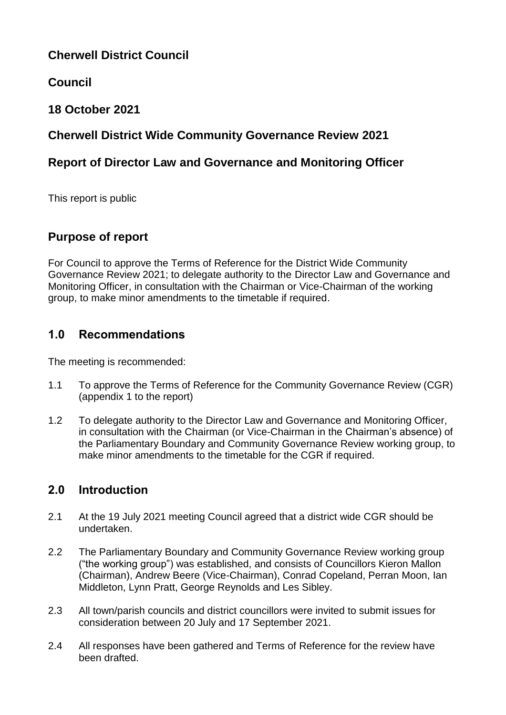# **Cherwell District Council**

# **Council**

## **18 October 2021**

## **Cherwell District Wide Community Governance Review 2021**

## **Report of Director Law and Governance and Monitoring Officer**

This report is public

## **Purpose of report**

For Council to approve the Terms of Reference for the District Wide Community Governance Review 2021; to delegate authority to the Director Law and Governance and Monitoring Officer, in consultation with the Chairman or Vice-Chairman of the working group, to make minor amendments to the timetable if required.

## **1.0 Recommendations**

The meeting is recommended:

- 1.1 To approve the Terms of Reference for the Community Governance Review (CGR) (appendix 1 to the report)
- 1.2 To delegate authority to the Director Law and Governance and Monitoring Officer, in consultation with the Chairman (or Vice-Chairman in the Chairman's absence) of the Parliamentary Boundary and Community Governance Review working group, to make minor amendments to the timetable for the CGR if required.

## **2.0 Introduction**

- 2.1 At the 19 July 2021 meeting Council agreed that a district wide CGR should be undertaken.
- 2.2 The Parliamentary Boundary and Community Governance Review working group ("the working group") was established, and consists of Councillors Kieron Mallon (Chairman), Andrew Beere (Vice-Chairman), Conrad Copeland, Perran Moon, Ian Middleton, Lynn Pratt, George Reynolds and Les Sibley.
- 2.3 All town/parish councils and district councillors were invited to submit issues for consideration between 20 July and 17 September 2021.
- 2.4 All responses have been gathered and Terms of Reference for the review have been drafted.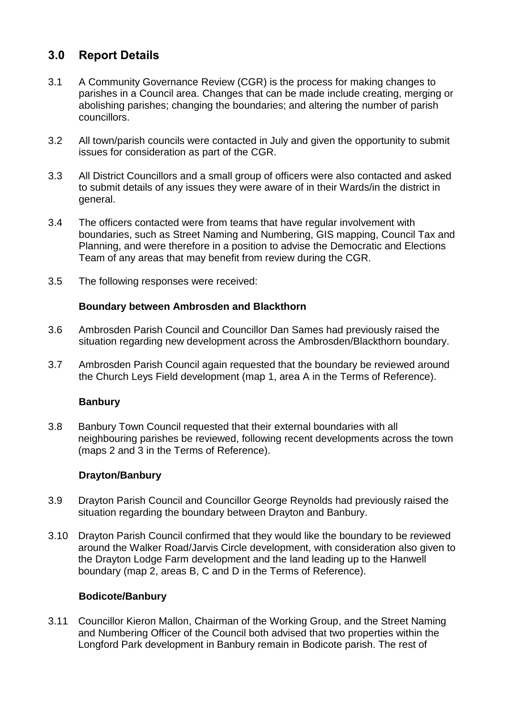## **3.0 Report Details**

- 3.1 A Community Governance Review (CGR) is the process for making changes to parishes in a Council area. Changes that can be made include creating, merging or abolishing parishes; changing the boundaries; and altering the number of parish councillors.
- 3.2 All town/parish councils were contacted in July and given the opportunity to submit issues for consideration as part of the CGR.
- 3.3 All District Councillors and a small group of officers were also contacted and asked to submit details of any issues they were aware of in their Wards/in the district in general.
- 3.4 The officers contacted were from teams that have regular involvement with boundaries, such as Street Naming and Numbering, GIS mapping, Council Tax and Planning, and were therefore in a position to advise the Democratic and Elections Team of any areas that may benefit from review during the CGR.
- 3.5 The following responses were received:

### **Boundary between Ambrosden and Blackthorn**

- 3.6 Ambrosden Parish Council and Councillor Dan Sames had previously raised the situation regarding new development across the Ambrosden/Blackthorn boundary.
- 3.7 Ambrosden Parish Council again requested that the boundary be reviewed around the Church Leys Field development (map 1, area A in the Terms of Reference).

#### **Banbury**

3.8 Banbury Town Council requested that their external boundaries with all neighbouring parishes be reviewed, following recent developments across the town (maps 2 and 3 in the Terms of Reference).

#### **Drayton/Banbury**

- 3.9 Drayton Parish Council and Councillor George Reynolds had previously raised the situation regarding the boundary between Drayton and Banbury.
- 3.10 Drayton Parish Council confirmed that they would like the boundary to be reviewed around the Walker Road/Jarvis Circle development, with consideration also given to the Drayton Lodge Farm development and the land leading up to the Hanwell boundary (map 2, areas B, C and D in the Terms of Reference).

#### **Bodicote/Banbury**

3.11 Councillor Kieron Mallon, Chairman of the Working Group, and the Street Naming and Numbering Officer of the Council both advised that two properties within the Longford Park development in Banbury remain in Bodicote parish. The rest of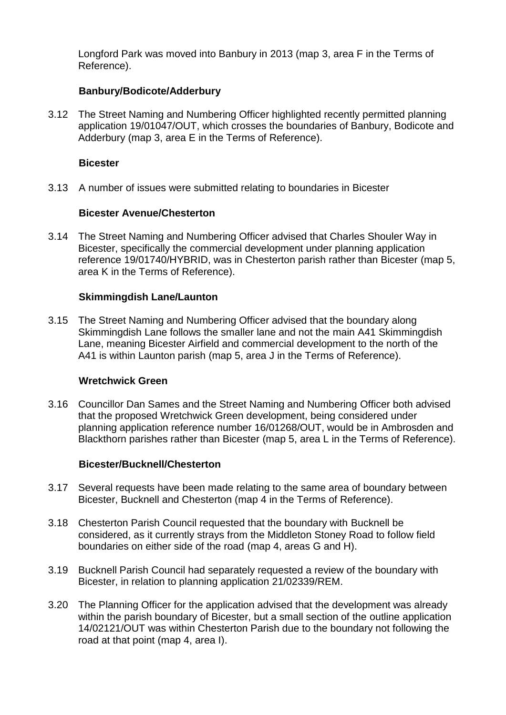Longford Park was moved into Banbury in 2013 (map 3, area F in the Terms of Reference).

#### **Banbury/Bodicote/Adderbury**

3.12 The Street Naming and Numbering Officer highlighted recently permitted planning application 19/01047/OUT, which crosses the boundaries of Banbury, Bodicote and Adderbury (map 3, area E in the Terms of Reference).

#### **Bicester**

3.13 A number of issues were submitted relating to boundaries in Bicester

### **Bicester Avenue/Chesterton**

3.14 The Street Naming and Numbering Officer advised that Charles Shouler Way in Bicester, specifically the commercial development under planning application reference 19/01740/HYBRID, was in Chesterton parish rather than Bicester (map 5, area K in the Terms of Reference).

### **Skimmingdish Lane/Launton**

3.15 The Street Naming and Numbering Officer advised that the boundary along Skimmingdish Lane follows the smaller lane and not the main A41 Skimmingdish Lane, meaning Bicester Airfield and commercial development to the north of the A41 is within Launton parish (map 5, area J in the Terms of Reference).

#### **Wretchwick Green**

3.16 Councillor Dan Sames and the Street Naming and Numbering Officer both advised that the proposed Wretchwick Green development, being considered under planning application reference number 16/01268/OUT, would be in Ambrosden and Blackthorn parishes rather than Bicester (map 5, area L in the Terms of Reference).

#### **Bicester/Bucknell/Chesterton**

- 3.17 Several requests have been made relating to the same area of boundary between Bicester, Bucknell and Chesterton (map 4 in the Terms of Reference).
- 3.18 Chesterton Parish Council requested that the boundary with Bucknell be considered, as it currently strays from the Middleton Stoney Road to follow field boundaries on either side of the road (map 4, areas G and H).
- 3.19 Bucknell Parish Council had separately requested a review of the boundary with Bicester, in relation to planning application 21/02339/REM.
- 3.20 The Planning Officer for the application advised that the development was already within the parish boundary of Bicester, but a small section of the outline application 14/02121/OUT was within Chesterton Parish due to the boundary not following the road at that point (map 4, area I).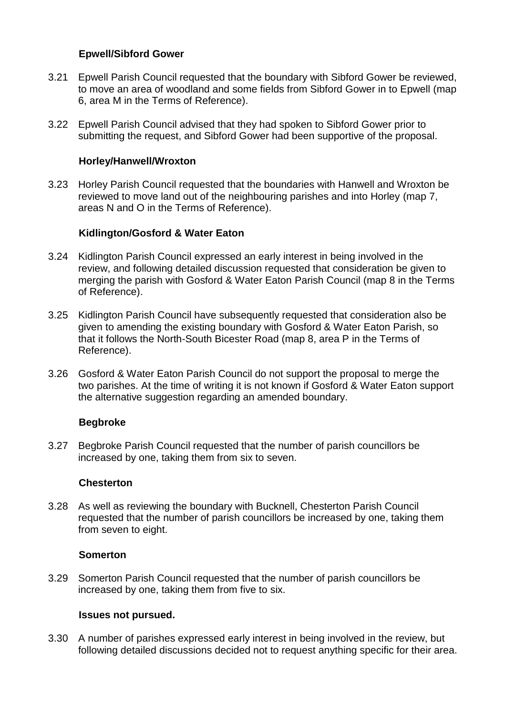### **Epwell/Sibford Gower**

- 3.21 Epwell Parish Council requested that the boundary with Sibford Gower be reviewed, to move an area of woodland and some fields from Sibford Gower in to Epwell (map 6, area M in the Terms of Reference).
- 3.22 Epwell Parish Council advised that they had spoken to Sibford Gower prior to submitting the request, and Sibford Gower had been supportive of the proposal.

#### **Horley/Hanwell/Wroxton**

3.23 Horley Parish Council requested that the boundaries with Hanwell and Wroxton be reviewed to move land out of the neighbouring parishes and into Horley (map 7, areas N and O in the Terms of Reference).

#### **Kidlington/Gosford & Water Eaton**

- 3.24 Kidlington Parish Council expressed an early interest in being involved in the review, and following detailed discussion requested that consideration be given to merging the parish with Gosford & Water Eaton Parish Council (map 8 in the Terms of Reference).
- 3.25 Kidlington Parish Council have subsequently requested that consideration also be given to amending the existing boundary with Gosford & Water Eaton Parish, so that it follows the North-South Bicester Road (map 8, area P in the Terms of Reference).
- 3.26 Gosford & Water Eaton Parish Council do not support the proposal to merge the two parishes. At the time of writing it is not known if Gosford & Water Eaton support the alternative suggestion regarding an amended boundary.

#### **Begbroke**

3.27 Begbroke Parish Council requested that the number of parish councillors be increased by one, taking them from six to seven.

#### **Chesterton**

3.28 As well as reviewing the boundary with Bucknell, Chesterton Parish Council requested that the number of parish councillors be increased by one, taking them from seven to eight.

#### **Somerton**

3.29 Somerton Parish Council requested that the number of parish councillors be increased by one, taking them from five to six.

#### **Issues not pursued.**

3.30 A number of parishes expressed early interest in being involved in the review, but following detailed discussions decided not to request anything specific for their area.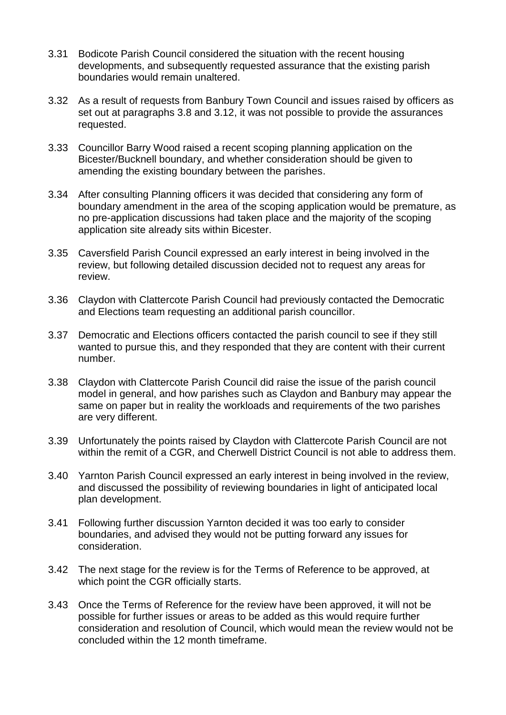- 3.31 Bodicote Parish Council considered the situation with the recent housing developments, and subsequently requested assurance that the existing parish boundaries would remain unaltered.
- 3.32 As a result of requests from Banbury Town Council and issues raised by officers as set out at paragraphs 3.8 and 3.12, it was not possible to provide the assurances requested.
- 3.33 Councillor Barry Wood raised a recent scoping planning application on the Bicester/Bucknell boundary, and whether consideration should be given to amending the existing boundary between the parishes.
- 3.34 After consulting Planning officers it was decided that considering any form of boundary amendment in the area of the scoping application would be premature, as no pre-application discussions had taken place and the majority of the scoping application site already sits within Bicester.
- 3.35 Caversfield Parish Council expressed an early interest in being involved in the review, but following detailed discussion decided not to request any areas for review.
- 3.36 Claydon with Clattercote Parish Council had previously contacted the Democratic and Elections team requesting an additional parish councillor.
- 3.37 Democratic and Elections officers contacted the parish council to see if they still wanted to pursue this, and they responded that they are content with their current number.
- 3.38 Claydon with Clattercote Parish Council did raise the issue of the parish council model in general, and how parishes such as Claydon and Banbury may appear the same on paper but in reality the workloads and requirements of the two parishes are very different.
- 3.39 Unfortunately the points raised by Claydon with Clattercote Parish Council are not within the remit of a CGR, and Cherwell District Council is not able to address them.
- 3.40 Yarnton Parish Council expressed an early interest in being involved in the review, and discussed the possibility of reviewing boundaries in light of anticipated local plan development.
- 3.41 Following further discussion Yarnton decided it was too early to consider boundaries, and advised they would not be putting forward any issues for consideration.
- 3.42 The next stage for the review is for the Terms of Reference to be approved, at which point the CGR officially starts.
- 3.43 Once the Terms of Reference for the review have been approved, it will not be possible for further issues or areas to be added as this would require further consideration and resolution of Council, which would mean the review would not be concluded within the 12 month timeframe.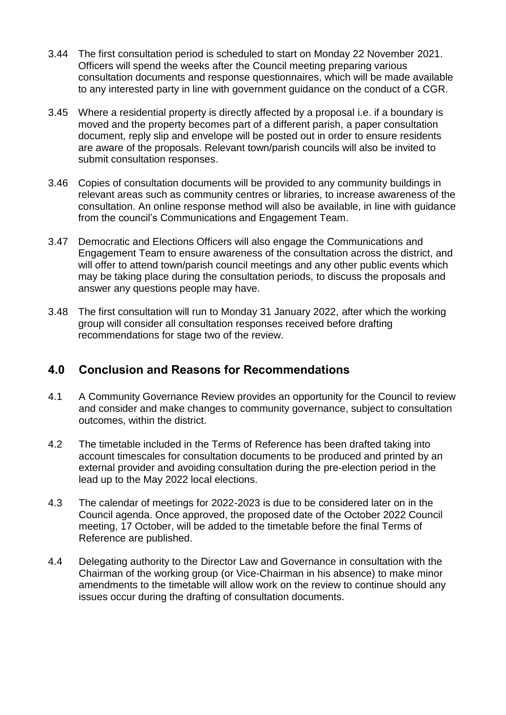- 3.44 The first consultation period is scheduled to start on Monday 22 November 2021. Officers will spend the weeks after the Council meeting preparing various consultation documents and response questionnaires, which will be made available to any interested party in line with government guidance on the conduct of a CGR.
- 3.45 Where a residential property is directly affected by a proposal i.e. if a boundary is moved and the property becomes part of a different parish, a paper consultation document, reply slip and envelope will be posted out in order to ensure residents are aware of the proposals. Relevant town/parish councils will also be invited to submit consultation responses.
- 3.46 Copies of consultation documents will be provided to any community buildings in relevant areas such as community centres or libraries, to increase awareness of the consultation. An online response method will also be available, in line with guidance from the council's Communications and Engagement Team.
- 3.47 Democratic and Elections Officers will also engage the Communications and Engagement Team to ensure awareness of the consultation across the district, and will offer to attend town/parish council meetings and any other public events which may be taking place during the consultation periods, to discuss the proposals and answer any questions people may have.
- 3.48 The first consultation will run to Monday 31 January 2022, after which the working group will consider all consultation responses received before drafting recommendations for stage two of the review.

### **4.0 Conclusion and Reasons for Recommendations**

- 4.1 A Community Governance Review provides an opportunity for the Council to review and consider and make changes to community governance, subject to consultation outcomes, within the district.
- 4.2 The timetable included in the Terms of Reference has been drafted taking into account timescales for consultation documents to be produced and printed by an external provider and avoiding consultation during the pre-election period in the lead up to the May 2022 local elections.
- 4.3 The calendar of meetings for 2022-2023 is due to be considered later on in the Council agenda. Once approved, the proposed date of the October 2022 Council meeting, 17 October, will be added to the timetable before the final Terms of Reference are published.
- 4.4 Delegating authority to the Director Law and Governance in consultation with the Chairman of the working group (or Vice-Chairman in his absence) to make minor amendments to the timetable will allow work on the review to continue should any issues occur during the drafting of consultation documents.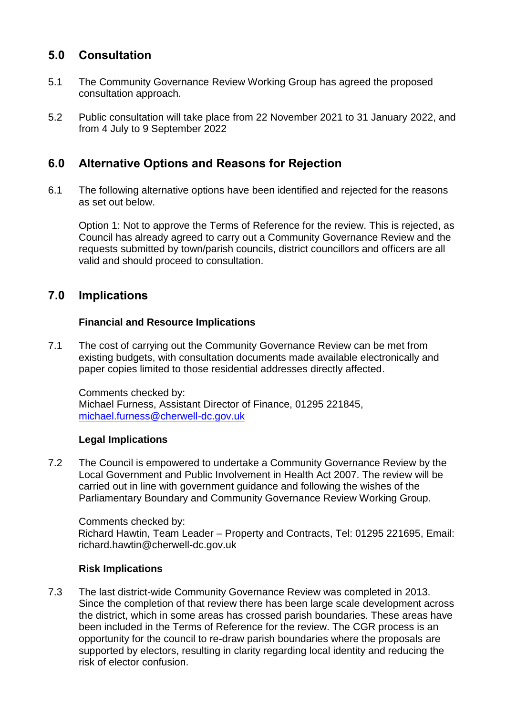## **5.0 Consultation**

- 5.1 The Community Governance Review Working Group has agreed the proposed consultation approach.
- 5.2 Public consultation will take place from 22 November 2021 to 31 January 2022, and from 4 July to 9 September 2022

### **6.0 Alternative Options and Reasons for Rejection**

6.1 The following alternative options have been identified and rejected for the reasons as set out below.

Option 1: Not to approve the Terms of Reference for the review. This is rejected, as Council has already agreed to carry out a Community Governance Review and the requests submitted by town/parish councils, district councillors and officers are all valid and should proceed to consultation.

### **7.0 Implications**

### **Financial and Resource Implications**

7.1 The cost of carrying out the Community Governance Review can be met from existing budgets, with consultation documents made available electronically and paper copies limited to those residential addresses directly affected.

Comments checked by: Michael Furness, Assistant Director of Finance, 01295 221845, [michael.furness@cherwell-dc.gov.uk](mailto:michael.furness@cherwell-dc.gov.uk)

#### **Legal Implications**

7.2 The Council is empowered to undertake a Community Governance Review by the Local Government and Public Involvement in Health Act 2007. The review will be carried out in line with government guidance and following the wishes of the Parliamentary Boundary and Community Governance Review Working Group.

Comments checked by:

Richard Hawtin, Team Leader – Property and Contracts, Tel: 01295 221695, Email: richard.hawtin@cherwell-dc.gov.uk

#### **Risk Implications**

7.3 The last district-wide Community Governance Review was completed in 2013. Since the completion of that review there has been large scale development across the district, which in some areas has crossed parish boundaries. These areas have been included in the Terms of Reference for the review. The CGR process is an opportunity for the council to re-draw parish boundaries where the proposals are supported by electors, resulting in clarity regarding local identity and reducing the risk of elector confusion.